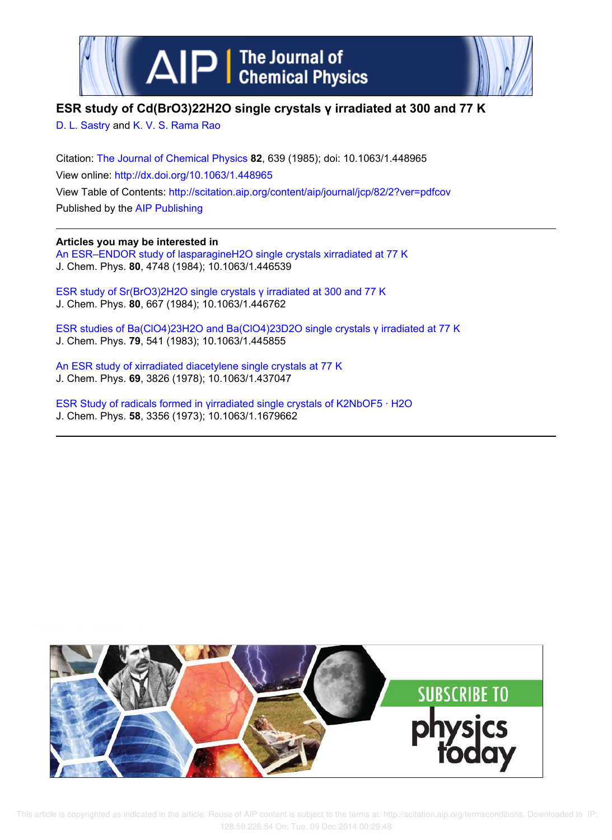



# **ESR study of Cd(BrO3)22H2O single crystals γ irradiated at 300 and 77 K**

D. L. Sastry and K. V. S. Rama Rao

Citation: The Journal of Chemical Physics **82**, 639 (1985); doi: 10.1063/1.448965 View online: http://dx.doi.org/10.1063/1.448965 View Table of Contents: http://scitation.aip.org/content/aip/journal/jcp/82/2?ver=pdfcov Published by the AIP Publishing

# **Articles you may be interested in**

An ESR–ENDOR study of lasparagineH2O single crystals xirradiated at 77 K J. Chem. Phys. **80**, 4748 (1984); 10.1063/1.446539

ESR study of Sr(BrO3)2H2O single crystals γ irradiated at 300 and 77 K J. Chem. Phys. **80**, 667 (1984); 10.1063/1.446762

ESR studies of Ba(ClO4)23H2O and Ba(ClO4)23D2O single crystals γ irradiated at 77 K J. Chem. Phys. **79**, 541 (1983); 10.1063/1.445855

An ESR study of xirradiated diacetylene single crystals at 77 K J. Chem. Phys. **69**, 3826 (1978); 10.1063/1.437047

ESR Study of radicals formed in γirradiated single crystals of K2NbOF5 · H2O J. Chem. Phys. **58**, 3356 (1973); 10.1063/1.1679662



 This article is copyrighted as indicated in the article. Reuse of AIP content is subject to the terms at: http://scitation.aip.org/termsconditions. Downloaded to IP: 128.59.226.54 On: Tue, 09 Dec 2014 00:29:48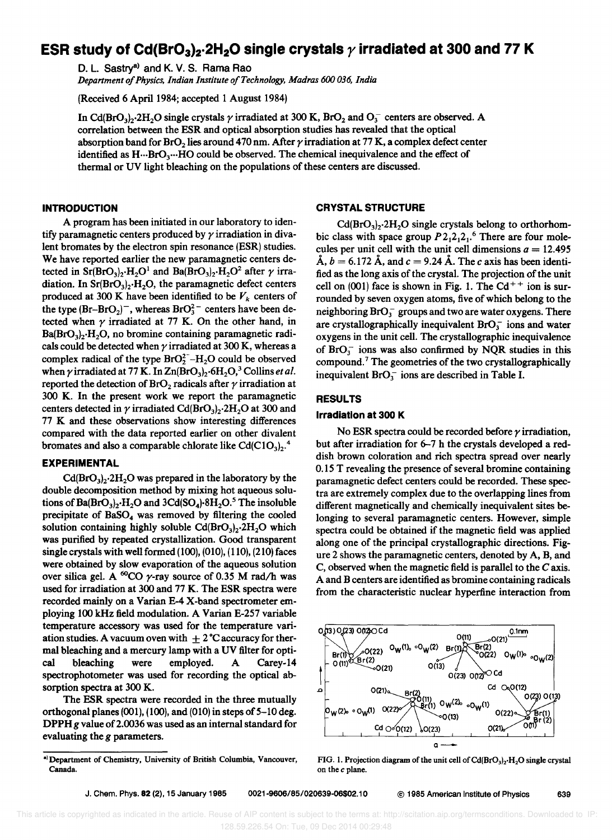# ESR study of Cd(BrO<sub>3</sub>)<sub>2</sub>.2H<sub>2</sub>O single crystals  $\gamma$  irradiated at 300 and 77 K

D. L. Sastry<sup>a)</sup> and K. V. S. Rama Rao

*Department of Physics. Indian Institute of Technology, Madras 600 036, India* 

(Received 6 April 1984; accepted 1 August 1984)

In Cd(BrO<sub>3</sub>)<sub>2</sub>.2H<sub>2</sub>O single crystals  $\gamma$  irradiated at 300 K, BrO<sub>2</sub> and O<sub>3</sub><sup>-</sup> centers are observed. A correlation between the ESR and optical absorption studies has revealed that the optical absorption band for BrO<sub>2</sub> lies around 470 nm. After  $\gamma$  irradiation at 77 K, a complex defect center identified as H... BrO<sub>3</sub>... HO could be observed. The chemical inequivalence and the effect of thermal or UV light bleaching on the populations of these centers are discussed.

# **INTRODUCTION**

A program has been initiated in our laboratory to identify paramagnetic centers produced by  $\gamma$  irradiation in divalent bromates by the electron spin resonance (ESR) studies. We have reported earlier the new paramagnetic centers detected in Sr(BrO<sub>3</sub>)<sub>2</sub>·H<sub>2</sub>O<sup>1</sup> and Ba(BrO<sub>3</sub>)<sub>2</sub>·H<sub>2</sub>O<sup>2</sup> after  $\gamma$  irradiation. In  $Sr(BrO<sub>3</sub>)<sub>2</sub>·H<sub>2</sub>O$ , the paramagnetic defect centers produced at 300 K have been identified to be  $V_k$  centers of the type  $(Br-BrO<sub>2</sub>)$ , whereas  $BrO<sub>3</sub><sup>2</sup>$  centers have been detected when  $\gamma$  irradiated at 77 K. On the other hand, in  $Ba(BrO<sub>3</sub>)<sub>2</sub>·H<sub>2</sub>O$ , no bromine containing paramagnetic radicals could be detected when  $\gamma$  irradiated at 300 K, whereas a complex radical of the type  $BrO<sub>2</sub><sup>2</sup> - H<sub>2</sub>O$  could be observed when  $\gamma$  irradiated at 77 K. In  $\text{Zn}(BrO<sub>3</sub>)<sub>2</sub>$ ·6H<sub>2</sub>O,<sup>3</sup> Collins *et al.* reported the detection of  $BrO<sub>2</sub>$  radicals after  $\gamma$  irradiation at 300 K. In the present work we report the paramagnetic centers detected in  $\gamma$  irradiated Cd(BrO<sub>3</sub>)<sub>2</sub>.2H<sub>2</sub>O at 300 and 77 K and these observations show interesting differences compared with the data reported earlier on other divalent bromates and also a comparable chlorate like Cd(C1O<sub>3</sub>).<sup>4</sup>

## EXPERIMENTAL

 $Cd(BrO<sub>3</sub>)<sub>2</sub>·2H<sub>2</sub>O$  was prepared in the laboratory by the double decomposition method by mixing hot aqueous solutions of  $Ba(BrO<sub>3</sub>)$ ,  $H<sub>2</sub>O$  and  $3Cd(SO<sub>4</sub>)$  $8H<sub>2</sub>O<sub>2</sub>$ <sup>5</sup> The insoluble precipitate of  $BaSO<sub>4</sub>$  was removed by filtering the cooled solution containing highly soluble  $Cd(BrO<sub>3</sub>)<sub>2</sub>·2H<sub>2</sub>O$  which was purified by repeated crystallization. Good transparent single crystals with well formed (100), (010), (110), (210) faces were obtained by slow evaporation of the aqueous solution over silica gel. A <sup>60</sup>CO  $\gamma$ -ray source of 0.35 M rad/h was used for irradiation at 300 and 77 K. The ESR spectra were recorded mainly on a Varian E-4 X-band spectrometer employing 100 kHz field modulation. A Varian E-257 variable temperature accessory was used for the temperature variation studies. A vacuum oven with  $\pm 2^{\circ}$ C accuracy for thermal bleaching and a mercury lamp with a UV filter for optical bleaching were employed. A Carey-14 spectrophotometer was used for recording the optical absorption spectra at 300 K.

The ESR spectra were recorded in the three mutually orthogonal planes (001), (100), and (010) in steps of 5-10 deg. DPPH g value of 2.0036 was used as an internal standard for evaluating the *g* parameters.

## CRYSTAL STRUCTURE

 $Cd(BrO<sub>3</sub>)<sub>2</sub>·2H<sub>2</sub>O$  single crystals belong to orthorhombic class with space group  $P2_12_12_1$ <sup>6</sup> There are four molecules per unit cell with the unit cell dimensions  $a = 12.495$  $\AA$ ,  $b = 6.172 \AA$ , and  $c = 9.24 \AA$ . The c axis has been identified as the long axis of the crystal. The projection of the unit cell on (001) face is shown in Fig. 1. The  $Cd^{++}$  ion is surrounded by seven oxygen atoms, five of which belong to the neighboring  $BrO<sub>3</sub><sup>-</sup>$  groups and two are water oxygens. There are crystallographically inequivalent  $BrO<sub>3</sub><sup>-</sup>$  ions and water oxygens in the unit cell. The crystallographic inequivalence of  $BrO<sub>3</sub><sup>-</sup>$  ions was also confirmed by NQR studies in this compound.<sup>7</sup> The geometries of the two crystallographically inequivalent  $BrO<sub>3</sub><sup>-</sup>$  ions are described in Table I.

## RESULTS

## Irradiation at 300 K

No ESR spectra could be recorded before  $\gamma$  irradiation, but after irradiation for 6-7 h the crystals developed a reddish brown coloration and rich spectra spread over nearly 0.15 T revealing the presence of several bromine containing paramagnetic defect centers could be recorded. These spectra are extremely complex due to the overlapping lines from different magnetically and chemically inequivalent sites belonging to several paramagnetic centers. However, simple spectra could be obtained if the magnetic field was applied along one of the principal crystallographic directions. Figure 2 shows the paramagnetic centers, denoted by A, B, and C, observed when the magnetic field is parallel to the C axis. A and B centers are identified as bromine containing radicals from the characteristic nuclear hyperfine interaction from



FIG. 1. Projection diagram of the unit cell of  $Cd(BrO<sub>3</sub>)<sub>2</sub>·H<sub>2</sub>O$  single crystal on the *c* plane.

al Department of Chemistry, University of British Columbia, Vancouver, Canada.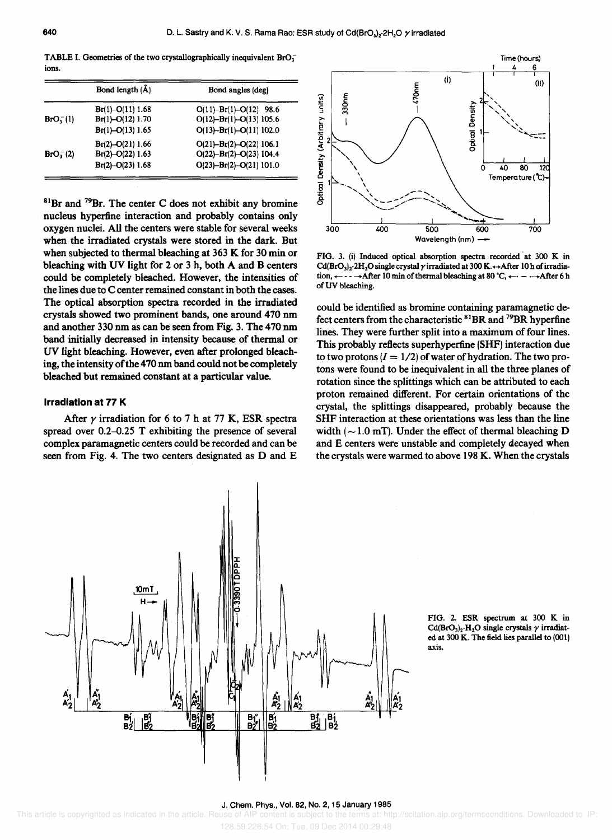TABLE I. Geometries of the two crystallographically inequivalent  $BrO<sub>3</sub>$ ions.

|                      | Bond length (Å)     | Bond angles (deg)             |
|----------------------|---------------------|-------------------------------|
|                      | $Br(1)-O(11)$ 1.68  | $O(11) - Br(1) - O(12)$ 98.6  |
| BrO <sub>1</sub> (1) | $Br(1)$ -O(12) 1.70 | $O(12) - Br(1) - O(13)$ 105.6 |
|                      | $Br(1)$ -O(13) 1.65 | $O(13) - Br(1) - O(11)$ 102.0 |
|                      | $Br(2)$ -O(21) 1.66 | $O(21) - Br(2) - O(22)$ 106.1 |
| $BrO_{3}^{-}(2)$     | $Br(2)$ -O(22) 1.63 | $O(22) - Br(2) - O(23)$ 104.4 |
|                      | $Br(2)$ –O(23) 1.68 | $O(23) - Br(2) - O(21)$ 101.0 |

 $81Br$  and  $79Br$ . The center C does not exhibit any bromine nucleus hyperfine interaction and probably contains only oxygen nuclei. All the centers were stable for several weeks when the irradiated crystals were stored in the dark. But when subjected to thermal bleaching at 363 K for 30 min or bleaching with UV light for 2 or 3 h, both A and B centers could be completely bleached. However, the intensities of the lines due to C center remained constant in both the cases. The optical absorption spectra recorded in the irradiated crystals showed two prominent bands, one around 470 nm and another 330 nm as can be seen from Fig. 3. The 470 nm band initially decreased in intensity because of thermal or UV light bleaching. However, even after prolonged bleaching, the intensity of the 470 nm band could not be completely bleached but remained constant at a particular value.

#### **Irradiation at 77 K**

After  $\gamma$  irradiation for 6 to 7 h at 77 K, ESR spectra spread over  $0.2-0.25$  T exhibiting the presence of several complex paramagnetic centers could be recorded and can be seen from Fig. 4. The two centers designated as D and E



FIG. 3. (i) Induced optical absorption spectra recorded 'at 300 K in Cd(BrO<sub>3</sub>)<sub>2</sub>·2H<sub>2</sub>O single crystal  $\gamma$  irradiated at 300 K. $\leftrightarrow$ After 10 h of irradiation,  $\leftarrow$  - -  $\rightarrow$  After 10 min of thermal bleaching at 80 °C,  $\leftarrow$  -  $\rightarrow$  After 6 h of UV bleaching.

could be identified as bromine containing paramagnetic defect centers from the characteristic 81BR and 79BR hyperfine lines. They were further split into a maximum of four lines. This probably reflects superhyperfine (SHF) interaction due to two protons  $(I = 1/2)$  of water of hydration. The two protons were found to be inequivalent in all the three planes of rotation since the splittings which can be attributed to each proton remained different. For certain orientations of the crystal, the splittings disappeared, probably because the SHF interaction at these orientations was less than the line width  $({\sim}1.0 \text{ mT})$ . Under the effect of thermal bleaching D and E centers were unstable and completely decayed when the crystals were warmed to above 198 K. When the crystals



FIG. Z. ESR spectrum at 300 K in Cd(BrO<sub>3</sub>)<sub>2</sub>·H<sub>2</sub>O single crystals  $\gamma$  irradiated at 300 K. The field lies parallel to (001) axis.

# J. Chern. Phys., Vol. 82, No.2, 15 January 1985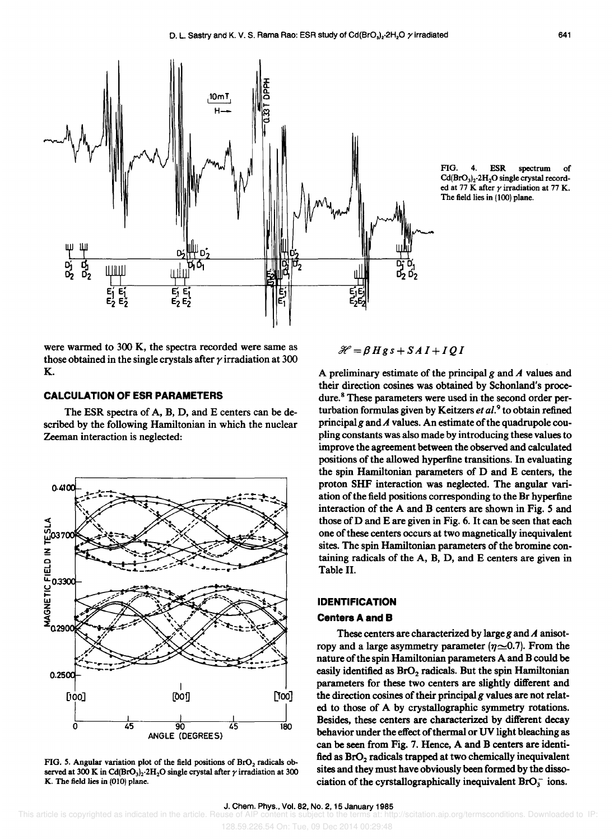

were warmed to 300 K, the spectra recorded were same as those obtained in the single crystals after  $\gamma$  irradiation at 300 K.

# **CALCULATION OF ESR PARAMETERS**

The ESR spectra of A, B, D, and E centers can be described by the following Hamiltonian in which the nuclear Zeeman interaction is neglected:



FIG. 5. Angular variation plot of the field positions of BrO<sub>2</sub> radicals observed at 300 K in Cd(BrO<sub>3</sub>)<sub>2</sub>·2H<sub>2</sub>O single crystal after  $\gamma$  irradiation at 300 K. The field lies in (010) plane.

 $\mathcal{H} = \beta Hg s + S A I + I Q I$ 

A preliminary estimate of the principal *g* and *A* values and their direction cosines was obtained by Schonland's procedure.<sup>8</sup> These parameters were used in the second order perturbation formulas given by Keitzers *et al.<sup>9</sup>*to obtain refined principal g and  $A$  values. An estimate of the quadrupole coupling constants was also made by introducing these values to improve the agreement between the observed and calculated positions of the allowed hyperfine transitions. In evaluating the spin Hamiltonian parameters of D and E centers, the proton SHF interaction was neglected. The angular variation of the field positions corresponding to the Br hyperfine interaction of the A and B centers are shown in Fig. 5 and those of D and E are given in Fig. 6. It can be seen that each one of these centers occurs at two magnetically inequivalent sites. The spin Hamiltonian parameters of the bromine containing radicals of the A, B, D, and E centers are given in Table II.

## **IDENTIFICATION**

## **Centers A and B**

These centers are characterized by large *g* and A anisotropy and a large asymmetry parameter  $(\eta \sim 0.7)$ . From the nature of the spin Hamiltonian parameters A and B could be easily identified as  $BrO<sub>2</sub>$  radicals. But the spin Hamiltonian parameters for these two centers are slightly different and the direction cosines of their principal  $g$  values are not related to those of A by crystallographic symmetry rotations. Besides, these centers are characterized by different decay behavior under the effect of thermal or UV light bleaching as can be seen from Fig. 7. Hence, A and B centers are identified as  $BrO<sub>2</sub>$  radicals trapped at two chemically inequivalent sites and they must have obviously been formed by the dissociation of the cyrstallographically inequivalent  $BrO_3^-$  ions.

FIG. 4. ESR spectrum of  $Cd(BrO<sub>3</sub>)<sub>2</sub>·2H<sub>2</sub>O single crystal record$ ed at 77 K after  $\gamma$  irradiation at 77 K. The field lies in (100) plane.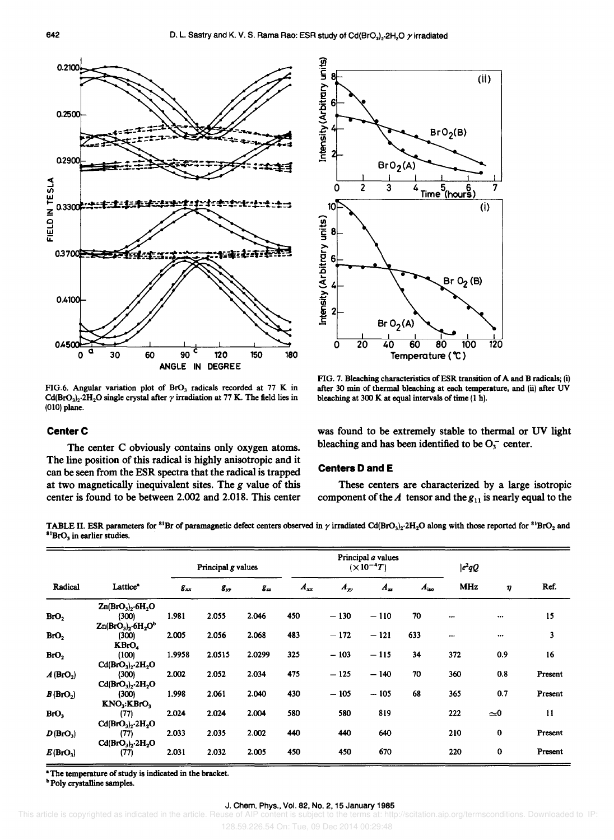

FIG.6. Angular variation plot of  $BrO<sub>3</sub>$  radicals recorded at 77 K in Cd(BrO<sub>3</sub>)<sub>2</sub>·2H<sub>2</sub>O single crystal after  $\gamma$  irradiation at 77 K. The field lies in (010) plane.

# **Center C**

The center C obviously contains only oxygen atoms. The line position of this radical is highly anisotropic and it can be seen from the ESR spectra that the radical is trapped at two magnetically inequivalent sites. The g value of this center is found to be between 2.002 and 2.018. This center



FIG. 7. Bleaching characteristics of ESR transition of A and B radicals; (i) after 30 min of thermal bleaching at each temperature, and (ii) after UV bleaching at 300 K at equal intervals of time (1 h).

was found to be extremely stable to thermal or UV light bleaching and has been identified to be  $O_3^-$  center.

## **Centers 0 and E**

These centers are characterized by a large isotropic component of the  $A$  tensor and the  $g_{11}$  is nearly equal to the

TABLE II. ESR parameters for <sup>81</sup>Br of paramagnetic defect centers observed in  $\gamma$  irradiated Cd(BrO<sub>3</sub>)<sub>2</sub>.2H<sub>2</sub>O along with those reported for <sup>81</sup>BrO<sub>2</sub> and  ${}^{81}BrO<sub>3</sub>$  in earlier studies.

| Lattice <sup>®</sup>                | Principal g values                                                |          |          | Principal a values<br>$(\times 10^{-4}T)$ |          |          |           | $ e^2qQ $  |             |         |
|-------------------------------------|-------------------------------------------------------------------|----------|----------|-------------------------------------------|----------|----------|-----------|------------|-------------|---------|
|                                     | $g_{xx}$                                                          | $g_{yy}$ | $g_{zz}$ | $A_{xx}$                                  | $A_{yy}$ | $A_{zz}$ | $A_{iso}$ | <b>MHz</b> | η           | Ref.    |
| $Zn(BrO3)2·6H2O$                    |                                                                   |          |          |                                           |          |          |           |            |             |         |
| (300)                               | 1.981                                                             | 2.055    | 2.046    | 450                                       | $-130$   | $-110$   | 70        | $\cdots$   | $\cdots$    | 15      |
|                                     |                                                                   |          |          |                                           |          |          |           |            |             |         |
| (300)                               | 2.005                                                             | 2.056    | 2.068    | 483                                       | $-172$   | $-121$   | 633       | $\cdots$   |             | 3       |
| KBrO.                               |                                                                   |          |          |                                           |          |          |           |            |             |         |
| (100)                               | 1.9958                                                            | 2.0515   | 2.0299   | 325                                       | $-103$   | $-115$   | 34        | 372        | 0.9         | 16      |
| $Cd(BrO3)2·2H2O$                    |                                                                   |          |          |                                           |          |          |           |            |             |         |
| (300)                               | 2.002                                                             | 2.052    | 2.034    | 475                                       | $-125$   | $-140$   | 70        | 360        | 0.8         | Present |
| $Cd(BrO3)2·2H2O$                    |                                                                   |          |          |                                           |          |          |           |            |             |         |
| (300)                               | 1.998                                                             | 2.061    | 2.040    | 430                                       | $-105$   | $-105$   | 68        | 365        | 0.7         | Present |
| KNO <sub>3</sub> :KBrO <sub>3</sub> |                                                                   |          |          |                                           |          |          |           |            |             |         |
| (77)                                | 2.024                                                             | 2.024    | 2.004    | 580                                       | 580      | 819      |           | 222        | $\approx 0$ | 11      |
|                                     |                                                                   |          |          |                                           |          |          |           |            |             |         |
| (77)                                | 2.033                                                             | 2.035    | 2.002    | 440                                       | 440      | 640      |           | 210        | $\bf{0}$    | Present |
|                                     |                                                                   |          |          |                                           |          |          |           |            |             |         |
|                                     | 2.031                                                             | 2.032    | 2.005    | 450                                       | 450      | 670      |           | 220        | $\mathbf 0$ | Present |
|                                     | $Zn(BrO3)2·6H2Ob$<br>$Cd(BrO3)2·2H2O$<br>$Cd(BrO3)2·2H2O$<br>(77) |          |          |                                           |          |          |           |            |             |         |

"The temperature of study is indicated in the bracket.

<sup>b</sup> Poly crystalline samples.

## J. Chem. Phys., Vol. 82, No. 2, 15 January 1985

128.59.226.54 On: Tue, 09 Dec 2014 00:29:48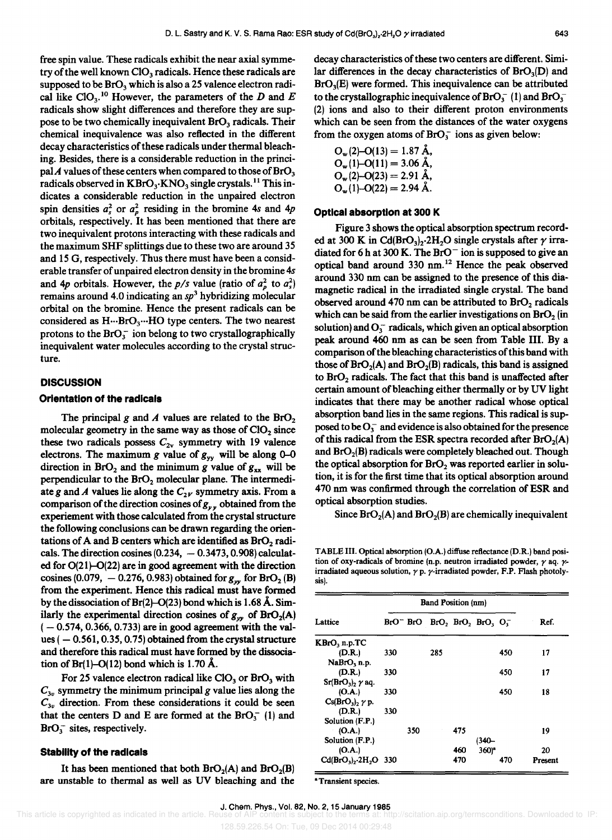free spin value. These radicals exhibit the near axial symmetry of the well known  $CIO_3$  radicals. Hence these radicals are supposed to be  $\text{BrO}_3$  which is also a 25 valence electron radical like ClO<sub>3</sub>.<sup>10</sup> However, the parameters of the D and E radicals show slight differences and therefore they are suppose to be two chemically inequivalent  $B<sub>1</sub>O<sub>3</sub>$  radicals. Their chemical inequivalence was also reflected in the different decay characteristics of these radicals under thermal bleaching. Besides, there is a considerable reduction in the principal A values of these centers when compared to those of  $\text{BrO}_3$ radicals observed in  $KBrO_3$ ·KNO<sub>3</sub> single crystals.<sup>11</sup> This indicates a considerable reduction in the unpaired electron spin densities  $a_s^2$  or  $a_p^2$  residing in the bromine 4s and 4p orbitals, respectively. It has been mentioned that there are two inequivalent protons interacting with these radicals and the maximum SHF splittings due to these two are around 35 and 15 G, respectively. Thus there must have been a considerable transfer of unpaired electron density in the bromine *4s*  and 4p orbitals. However, the  $p/s$  value (ratio of  $a_p^2$  to  $a_s^2$ ) remains around 4.0 indicating an *Sp3* hybridizing molecular orbital on the bromine. Hence the present radicals can be considered as H...BrO<sub>3</sub>...HO type centers. The two nearest protons to the  $BrO_3^-$  ion belong to two crystallographically inequivalent water molecules according to the crystal structure.

#### **DISCUSSION**

#### **Orientation of the radicals**

The principal g and  $A$  values are related to the  $BrO<sub>2</sub>$ molecular geometry in the same way as those of  $ClO<sub>2</sub>$  since these two radicals possess  $C_{2v}$  symmetry with 19 valence electrons. The maximum g value of  $g_{yy}$  will be along 0-0 direction in BrO<sub>2</sub> and the minimum *g* value of  $g_{xx}$  will be perpendicular to the  $BrO<sub>2</sub>$  molecular plane. The intermediate g and A values lie along the  $C_{2V}$  symmetry axis. From a comparison of the direction cosines of  $g_{yy}$  obtained from the experiement with those calculated from the crystal structure the following conclusions can be drawn regarding the orientations of A and B centers which are identified as  $BrO<sub>2</sub>$  radicals. The direction cosines  $(0.234, -0.3473, 0.908)$  calculated for  $O(21)-O(22)$  are in good agreement with the direction cosines (0.079,  $-$  0.276, 0.983) obtained for  $g_w$  for BrO<sub>2</sub> (B) from the experiment. Hence this radical must have formed by the dissociation of  $Br(2)-O(23)$  bond which is 1.68 Å. Similarly the experimental direction cosines of  $g_{yy}$  of  $\text{BrO}_2(A)$  $(-0.574, 0.366, 0.733)$  are in good agreement with the values  $(-0.561, 0.35, 0.75)$  obtained from the crystal structure and therefore this radical must have formed by the dissociation of  $Br(1)$ -O(12) bond which is 1.70 Å.

For 25 valence electron radical like ClO<sub>3</sub> or BrO<sub>3</sub> with  $C_{3v}$  symmetry the minimum principal g value lies along the  $C_{3v}$  direction. From these considerations it could be seen that the centers D and E are formed at the  $BrO<sub>3</sub><sup>-</sup>$  (1) and  $BrO<sub>3</sub><sup>-</sup>$  sites, respectively.

#### **Stability of the radicals**

It has been mentioned that both  $\text{BrO}_2(A)$  and  $\text{BrO}_2(B)$ are unstable to thermal as well as UV bleaching and the decay characteristics of these two centers are different. Similar differences in the decay characteristics of  $\text{BrO}_3(D)$  and Br0<sup>3</sup> (E) were formed. This inequivalence can be attributed to the crystallographic inequivalence of  $BrO<sub>3</sub><sup>-</sup>$  (1) and  $BrO<sub>3</sub>$ (2) ions and also to their different proton environments which can be seen from the distances of the water oxygens from the oxygen atoms of  $BrO<sub>3</sub><sup>-</sup>$  ions as given below:

$$
O_w(2)-O(13) = 1.87 \text{ Å},
$$
  
\n
$$
O_w(1)-O(11) = 3.06 \text{ Å},
$$
  
\n
$$
O_w(2)-O(23) = 2.91 \text{ Å},
$$
  
\n
$$
O_w(1)-O(22) = 2.94 \text{ Å}.
$$

#### **Optical absorption at 300 K**

Figure 3 shows the optical absorption spectrum recorded at 300 K in Cd(BrO<sub>3</sub>)<sub>2</sub>.2H<sub>2</sub>O single crystals after  $\gamma$  irradiated for 6 h at 300 K. The BrO<sup>-</sup> ion is supposed to give an optical band around 330 nm.<sup>12</sup> Hence the peak observed around 330 nm can be assigned to the presence of this diamagnetic radical in the irradiated single crystal. The band observed around 470 nm can be attributed to  $BrO<sub>2</sub>$  radicals which can be said from the earlier investigations on  $BrO<sub>2</sub>$  (in solution) and  $O_3^-$  radicals, which given an optical absorption peak around 460 nm as can be seen from Table III. By a comparison of the bleaching characteristics of this band with those of  $\text{BrO}_2(A)$  and  $\text{BrO}_2(B)$  radicals, this band is assigned to  $BrO<sub>2</sub>$  radicals. The fact that this band is unaffected after certain amount of bleaching either thermally or by UV light indicates that there may be another radical whose optical absorption band lies in the same regions. This radical is supposed to be  $O_3^-$  and evidence is also obtained for the presence of this radical from the ESR spectra recorded after  $BrO<sub>2</sub>(A)$ and BrO<sub>2</sub>(B) radicals were completely bleached out. Though the optical absorption for  $B<sub>r</sub>O<sub>2</sub>$  was reported earlier in solution, it is for the first time that its optical absorption around 470 nm was confirmed through the correlation of ESR and optical absorption studies.

Since  $\text{BrO}_2(A)$  and  $\text{BrO}_2(B)$  are chemically inequivalent

TABLE III. Optical absorption (O.A.) diffuse reflectance (D.R.) band posi· tion of oxy-radicals of bromine (n.p. neutron irradiated powder,  $\gamma$  aq.  $\gamma$ irradiated aqueous solution,  $\gamma$  p.  $\gamma$ -irradiated powder, F.P. Flash photolysis).

|                           | <b>Band Position (nm)</b> |     |                                             |     |                  |     |         |
|---------------------------|---------------------------|-----|---------------------------------------------|-----|------------------|-----|---------|
| Lattice                   |                           |     | $BrO^-$ BrO $BrO$ , $BrO$ , $BrO$ , $O_1^-$ |     |                  |     | Ref.    |
| $KBrO3$ n.p.TC            |                           |     |                                             |     |                  |     |         |
| (D.R.)                    | 330                       |     | 285                                         |     |                  | 450 | 17      |
| NaBrO <sub>3</sub> n.p.   |                           |     |                                             |     |                  |     |         |
| (D.R.)                    | 330                       |     |                                             |     |                  | 450 | 17      |
| $Sr(BrO3)$ , $\gamma$ aq. |                           |     |                                             |     |                  |     |         |
| (O.A.)                    | 330                       |     |                                             |     |                  | 450 | 18      |
| $Cs(BrO3)$ , $\gamma$ p.  |                           |     |                                             |     |                  |     |         |
| (D.R.)                    | 330                       |     |                                             |     |                  |     |         |
| Solution (F.P.)           |                           |     |                                             |     |                  |     |         |
| (O.A.)                    |                           | 350 |                                             | 475 |                  |     | 19      |
| Solution (F.P.)           |                           |     |                                             |     | (340-            |     |         |
| (O.A.)                    |                           |     |                                             | 460 | 360 <sup>4</sup> |     | 20      |
| $Cd(BrO3), 2H2O$ 330      |                           |     |                                             | 470 |                  | 470 | Present |

<sup>a</sup> Transient species.